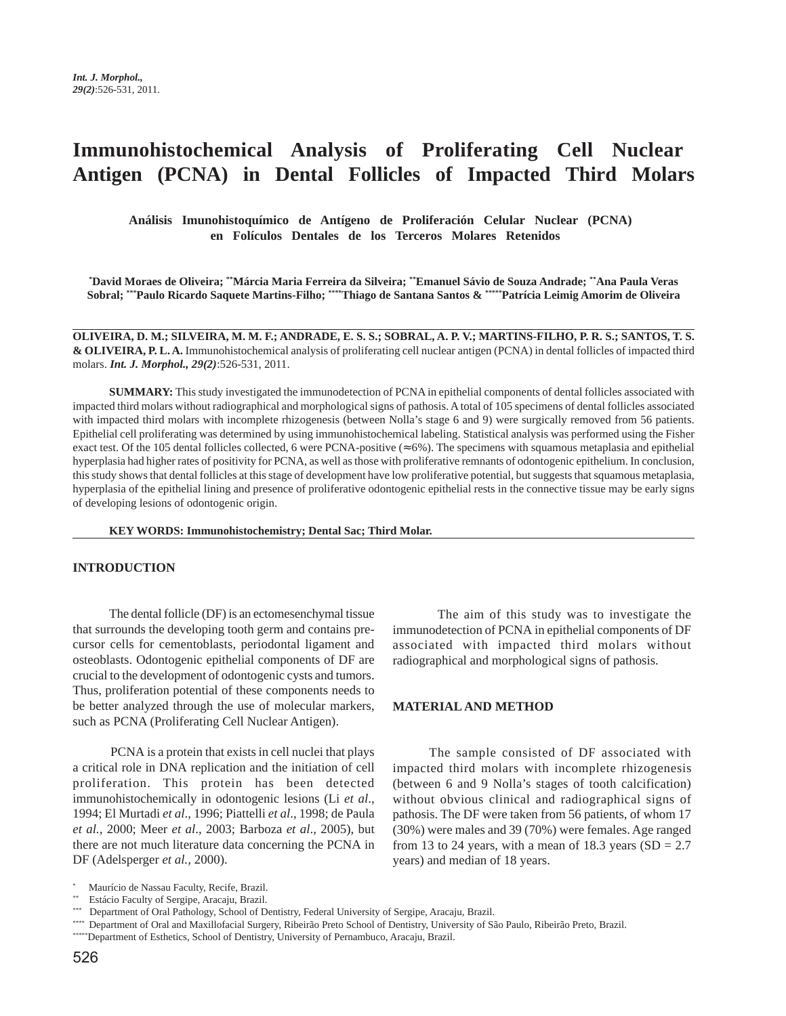# **Immunohistochemical Analysis of Proliferating Cell Nuclear Antigen (PCNA) in Dental Follicles of Impacted Third Molars**

**Análisis Imunohistoquímico de Antígeno de Proliferación Celular Nuclear (PCNA) en Folículos Dentales de los Terceros Molares Retenidos**

**\* David Moraes de Oliveira; \*\*Márcia Maria Ferreira da Silveira; \*\*Emanuel Sávio de Souza Andrade; \*\*Ana Paula Veras Sobral; \*\*\*Paulo Ricardo Saquete Martins-Filho; \*\*\*\*Thiago de Santana Santos & \*\*\*\*\*Patrícia Leimig Amorim de Oliveira**

**OLIVEIRA, D. M.; SILVEIRA, M. M. F.; ANDRADE, E. S. S.; SOBRAL, A. P. V.; MARTINS-FILHO, P. R. S.; SANTOS, T. S. & OLIVEIRA, P. L. A.** Immunohistochemical analysis of proliferating cell nuclear antigen (PCNA) in dental follicles of impacted third molars. *Int. J. Morphol., 29(2)*:526-531, 2011.

**SUMMARY:** This study investigated the immunodetection of PCNA in epithelial components of dental follicles associated with impacted third molars without radiographical and morphological signs of pathosis. A total of 105 specimens of dental follicles associated with impacted third molars with incomplete rhizogenesis (between Nolla's stage 6 and 9) were surgically removed from 56 patients. Epithelial cell proliferating was determined by using immunohistochemical labeling. Statistical analysis was performed using the Fisher exact test. Of the 105 dental follicles collected, 6 were PCNA-positive ( $\approx 6\%$ ). The specimens with squamous metaplasia and epithelial hyperplasia had higher rates of positivity for PCNA, as well as those with proliferative remnants of odontogenic epithelium. In conclusion, this study shows that dental follicles at this stage of development have low proliferative potential, but suggests that squamous metaplasia, hyperplasia of the epithelial lining and presence of proliferative odontogenic epithelial rests in the connective tissue may be early signs of developing lesions of odontogenic origin.

**KEY WORDS: Immunohistochemistry; Dental Sac; Third Molar.**

### **INTRODUCTION**

The dental follicle (DF) is an ectomesenchymal tissue that surrounds the developing tooth germ and contains precursor cells for cementoblasts, periodontal ligament and osteoblasts. Odontogenic epithelial components of DF are crucial to the development of odontogenic cysts and tumors. Thus, proliferation potential of these components needs to be better analyzed through the use of molecular markers, such as PCNA (Proliferating Cell Nuclear Antigen).

 PCNA is a protein that exists in cell nuclei that plays a critical role in DNA replication and the initiation of cell proliferation. This protein has been detected immunohistochemically in odontogenic lesions (Li *et al*., 1994; El Murtadi *et al*., 1996; Piattelli *et al*., 1998; de Paula *et al.*, 2000; Meer *et al*., 2003; Barboza *et al*., 2005), but there are not much literature data concerning the PCNA in DF (Adelsperger *et al.,* 2000).

 The aim of this study was to investigate the immunodetection of PCNA in epithelial components of DF associated with impacted third molars without radiographical and morphological signs of pathosis.

## **MATERIAL AND METHOD**

The sample consisted of DF associated with impacted third molars with incomplete rhizogenesis (between 6 and 9 Nolla's stages of tooth calcification) without obvious clinical and radiographical signs of pathosis. The DF were taken from 56 patients, of whom 17 (30%) were males and 39 (70%) were females. Age ranged from 13 to 24 years, with a mean of 18.3 years  $(SD = 2.7)$ years) and median of 18 years.

<sup>\*</sup> Maurício de Nassau Faculty, Recife, Brazil.

<sup>\*\*</sup> Estácio Faculty of Sergipe, Aracaju, Brazil.

<sup>\*\*\*</sup> Department of Oral Pathology, School of Dentistry, Federal University of Sergipe, Aracaju, Brazil.

<sup>\*\*\*\*</sup> Department of Oral and Maxillofacial Surgery, Ribeirão Preto School of Dentistry, University of São Paulo, Ribeirão Preto, Brazil.

<sup>\*\*\*\*\*</sup>Department of Esthetics, School of Dentistry, University of Pernambuco, Aracaju, Brazil.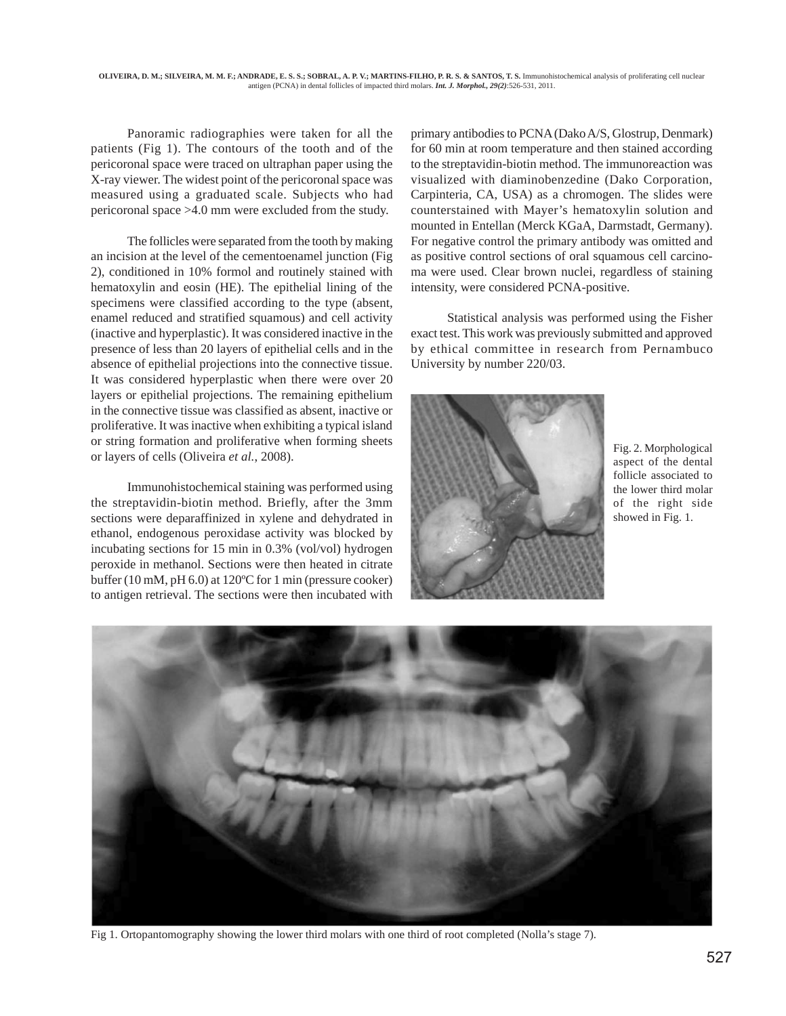Panoramic radiographies were taken for all the patients (Fig 1). The contours of the tooth and of the pericoronal space were traced on ultraphan paper using the X-ray viewer. The widest point of the pericoronal space was measured using a graduated scale. Subjects who had pericoronal space >4.0 mm were excluded from the study.

The follicles were separated from the tooth by making an incision at the level of the cementoenamel junction (Fig 2), conditioned in 10% formol and routinely stained with hematoxylin and eosin (HE). The epithelial lining of the specimens were classified according to the type (absent, enamel reduced and stratified squamous) and cell activity (inactive and hyperplastic). It was considered inactive in the presence of less than 20 layers of epithelial cells and in the absence of epithelial projections into the connective tissue. It was considered hyperplastic when there were over 20 layers or epithelial projections. The remaining epithelium in the connective tissue was classified as absent, inactive or proliferative. It was inactive when exhibiting a typical island or string formation and proliferative when forming sheets or layers of cells (Oliveira *et al.*, 2008).

Immunohistochemical staining was performed using the streptavidin-biotin method. Briefly, after the 3mm sections were deparaffinized in xylene and dehydrated in ethanol, endogenous peroxidase activity was blocked by incubating sections for 15 min in 0.3% (vol/vol) hydrogen peroxide in methanol. Sections were then heated in citrate buffer (10 mM, pH 6.0) at 120ºC for 1 min (pressure cooker) to antigen retrieval. The sections were then incubated with

primary antibodies to PCNA (Dako A/S, Glostrup, Denmark) for 60 min at room temperature and then stained according to the streptavidin-biotin method. The immunoreaction was visualized with diaminobenzedine (Dako Corporation, Carpinteria, CA, USA) as a chromogen. The slides were counterstained with Mayer's hematoxylin solution and mounted in Entellan (Merck KGaA, Darmstadt, Germany). For negative control the primary antibody was omitted and as positive control sections of oral squamous cell carcinoma were used. Clear brown nuclei, regardless of staining intensity, were considered PCNA-positive.

Statistical analysis was performed using the Fisher exact test. This work was previously submitted and approved by ethical committee in research from Pernambuco University by number 220/03.



Fig. 2. Morphological aspect of the dental follicle associated to the lower third molar of the right side showed in Fig. 1.



Fig 1. Ortopantomography showing the lower third molars with one third of root completed (Nolla's stage 7).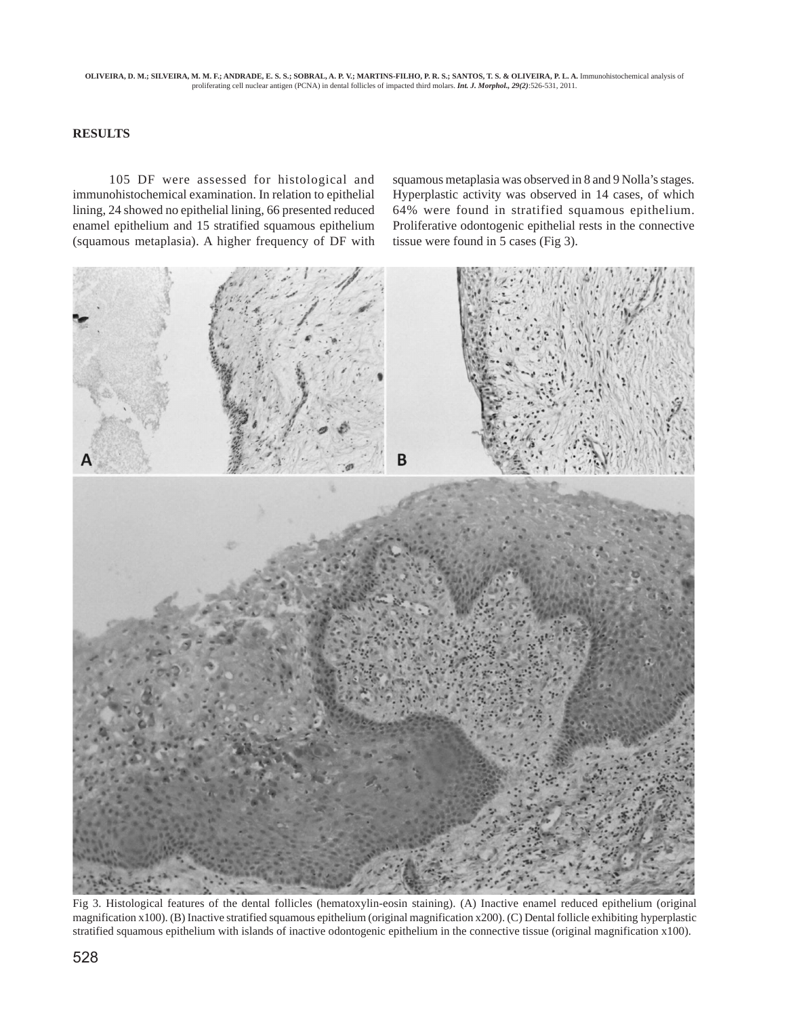**OLIVEIRA, D. M.; SILVEIRA, M. M. F.; ANDRADE, E. S. S.; SOBRAL, A. P. V.; MARTINS-FILHO, P. R. S.; SANTOS, T. S. & OLIVEIRA, P. L. A.** Immunohistochemical analysis of proliferating cell nuclear antigen (PCNA) in dental follicles of impacted third molars. *Int. J. Morphol., 29(2)*:526-531, 2011.

### **RESULTS**

105 DF were assessed for histological and immunohistochemical examination. In relation to epithelial lining, 24 showed no epithelial lining, 66 presented reduced enamel epithelium and 15 stratified squamous epithelium (squamous metaplasia). A higher frequency of DF with

squamous metaplasia was observed in 8 and 9 Nolla's stages. Hyperplastic activity was observed in 14 cases, of which 64% were found in stratified squamous epithelium. Proliferative odontogenic epithelial rests in the connective tissue were found in 5 cases (Fig 3).



Fig 3. Histological features of the dental follicles (hematoxylin-eosin staining). (A) Inactive enamel reduced epithelium (original magnification x100). (B) Inactive stratified squamous epithelium (original magnification x200). (C) Dental follicle exhibiting hyperplastic stratified squamous epithelium with islands of inactive odontogenic epithelium in the connective tissue (original magnification x100).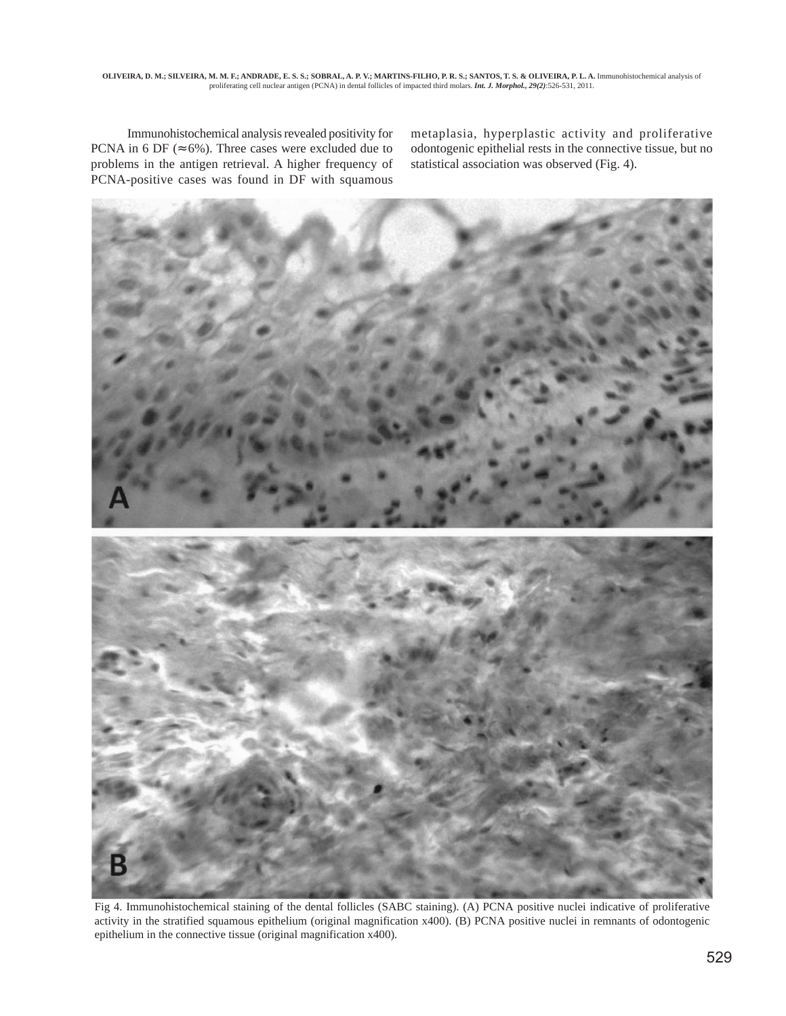Immunohistochemical analysis revealed positivity for PCNA in 6 DF ( $\approx$  6%). Three cases were excluded due to problems in the antigen retrieval. A higher frequency of PCNA-positive cases was found in DF with squamous metaplasia, hyperplastic activity and proliferative odontogenic epithelial rests in the connective tissue, but no statistical association was observed (Fig. 4).



Fig 4. Immunohistochemical staining of the dental follicles (SABC staining). (A) PCNA positive nuclei indicative of proliferative activity in the stratified squamous epithelium (original magnification x400). (B) PCNA positive nuclei in remnants of odontogenic epithelium in the connective tissue (original magnification x400).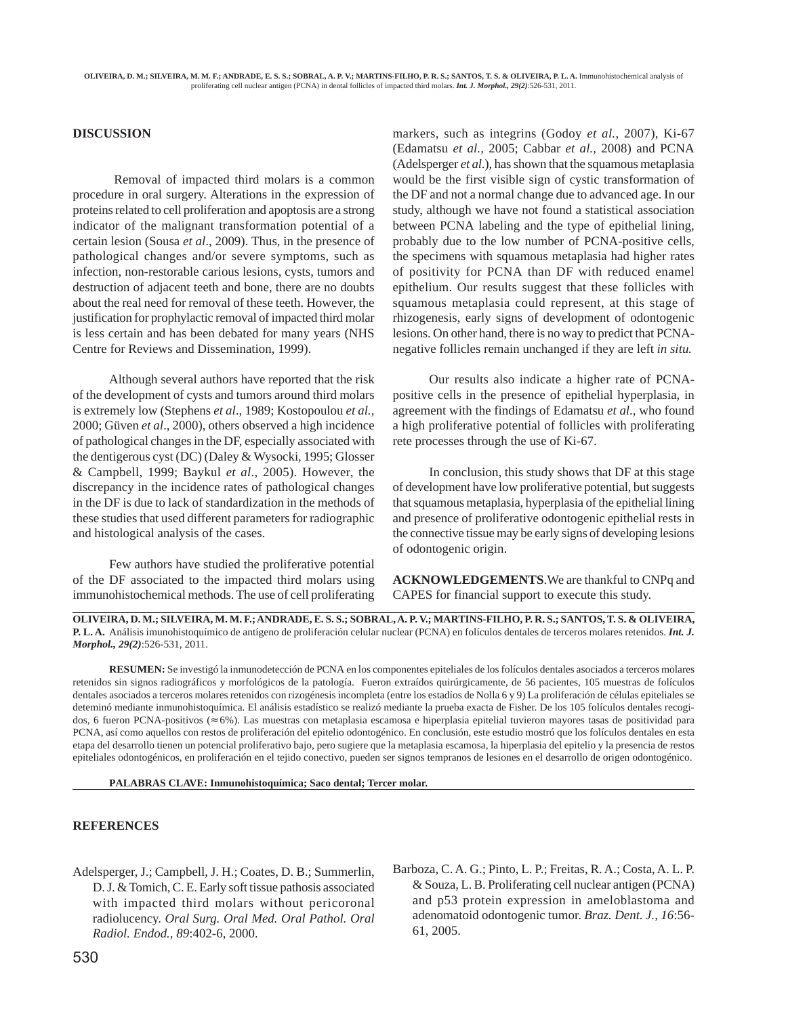### **DISCUSSION**

 Removal of impacted third molars is a common procedure in oral surgery. Alterations in the expression of proteins related to cell proliferation and apoptosis are a strong indicator of the malignant transformation potential of a certain lesion (Sousa *et al*., 2009). Thus, in the presence of pathological changes and/or severe symptoms, such as infection, non-restorable carious lesions, cysts, tumors and destruction of adjacent teeth and bone, there are no doubts about the real need for removal of these teeth. However, the justification for prophylactic removal of impacted third molar is less certain and has been debated for many years (NHS Centre for Reviews and Dissemination, 1999).

Although several authors have reported that the risk of the development of cysts and tumors around third molars is extremely low (Stephens *et al*., 1989; Kostopoulou *et al.,* 2000; Güven *et al*., 2000), others observed a high incidence of pathological changes in the DF, especially associated with the dentigerous cyst (DC) (Daley & Wysocki, 1995; Glosser & Campbell, 1999; Baykul *et al*., 2005). However, the discrepancy in the incidence rates of pathological changes in the DF is due to lack of standardization in the methods of these studies that used different parameters for radiographic and histological analysis of the cases.

Few authors have studied the proliferative potential of the DF associated to the impacted third molars using immunohistochemical methods. The use of cell proliferating markers, such as integrins (Godoy *et al.*, 2007), Ki-67 (Edamatsu *et al.,* 2005; Cabbar *et al.,* 2008) and PCNA (Adelsperger *et al*.), has shown that the squamous metaplasia would be the first visible sign of cystic transformation of the DF and not a normal change due to advanced age. In our study, although we have not found a statistical association between PCNA labeling and the type of epithelial lining, probably due to the low number of PCNA-positive cells, the specimens with squamous metaplasia had higher rates of positivity for PCNA than DF with reduced enamel epithelium. Our results suggest that these follicles with squamous metaplasia could represent, at this stage of rhizogenesis, early signs of development of odontogenic lesions. On other hand, there is no way to predict that PCNAnegative follicles remain unchanged if they are left *in situ.*

Our results also indicate a higher rate of PCNApositive cells in the presence of epithelial hyperplasia, in agreement with the findings of Edamatsu *et al*., who found a high proliferative potential of follicles with proliferating rete processes through the use of Ki-67.

In conclusion, this study shows that DF at this stage of development have low proliferative potential, but suggests that squamous metaplasia, hyperplasia of the epithelial lining and presence of proliferative odontogenic epithelial rests in the connective tissue may be early signs of developing lesions of odontogenic origin.

**ACKNOWLEDGEMENTS**.We are thankful to CNPq and CAPES for financial support to execute this study.

**OLIVEIRA, D. M.; SILVEIRA, M. M. F.; ANDRADE, E. S. S.; SOBRAL, A. P. V.; MARTINS-FILHO, P. R. S.; SANTOS, T. S. & OLIVEIRA, P. L. A.** Análisis imunohistoquímico de antígeno de proliferación celular nuclear (PCNA) en folículos dentales de terceros molares retenidos. *Int. J. Morphol., 29(2)*:526-531, 2011.

**RESUMEN:** Se investigó la inmunodetección de PCNA en los componentes epiteliales de los folículos dentales asociados a terceros molares retenidos sin signos radiográficos y morfológicos de la patología. Fueron extraídos quirúrgicamente, de 56 pacientes, 105 muestras de folículos dentales asociados a terceros molares retenidos con rizogénesis incompleta (entre los estadíos de Nolla 6 y 9) La proliferación de células epiteliales se deteminó mediante inmunohistoquímica. El análisis estadístico se realizó mediante la prueba exacta de Fisher. De los 105 folículos dentales recogidos, 6 fueron PCNA-positivos (≈ 6%). Las muestras con metaplasia escamosa e hiperplasia epitelial tuvieron mayores tasas de positividad para PCNA, así como aquellos con restos de proliferación del epitelio odontogénico. En conclusión, este estudio mostró que los folículos dentales en esta etapa del desarrollo tienen un potencial proliferativo bajo, pero sugiere que la metaplasia escamosa, la hiperplasia del epitelio y la presencia de restos epiteliales odontogénicos, en proliferación en el tejido conectivo, pueden ser signos tempranos de lesiones en el desarrollo de origen odontogénico.

**PALABRAS CLAVE: Inmunohistoquímica; Saco dental; Tercer molar.**

#### **REFERENCES**

- Adelsperger, J.; Campbell, J. H.; Coates, D. B.; Summerlin, D. J. & Tomich, C. E. Early soft tissue pathosis associated with impacted third molars without pericoronal radiolucency. *Oral Surg. Oral Med. Oral Pathol. Oral Radiol. Endod., 89*:402-6, 2000.
- Barboza, C. A. G.; Pinto, L. P.; Freitas, R. A.; Costa, A. L. P. & Souza, L. B. Proliferating cell nuclear antigen (PCNA) and p53 protein expression in ameloblastoma and adenomatoid odontogenic tumor. *Braz. Dent. J., 16*:56- 61, 2005.